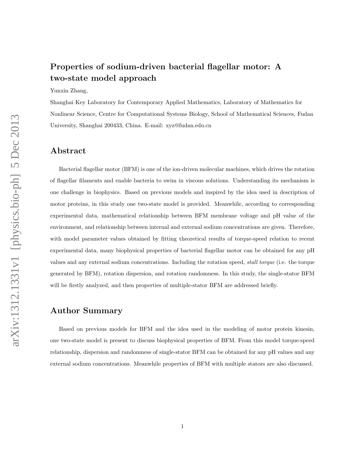# Properties of sodium-driven bacterial flagellar motor: A two-state model approach

#### Yunxin Zhang,

Shanghai Key Laboratory for Contemporary Applied Mathematics, Laboratory of Mathematics for Nonlinear Science, Centre for Computational Systems Biology, School of Mathematical Sciences, Fudan University, Shanghai 200433, China. E-mail: xyz@fudan.edu.cn

#### Abstract

Bacterial flagellar motor (BFM) is one of the ion-driven molecular machines, which drives the rotation of flagellar filaments and enable bacteria to swim in viscous solutions. Understanding its mechanism is one challenge in biophysics. Based on previous models and inspired by the idea used in description of motor proteins, in this study one two-state model is provided. Meanwhile, according to corresponding experimental data, mathematical relationship between BFM membrane voltage and pH value of the environment, and relationship between internal and external sodium concentrations are given. Therefore, with model parameter values obtained by fitting theoretical results of torque-speed relation to recent experimental data, many biophysical properties of bacterial flagellar motor can be obtained for any pH values and any external sodium concentrations. Including the rotation speed, stall torque (i.e. the torque generated by BFM), rotation dispersion, and rotation randomness. In this study, the single-stator BFM will be firstly analyzed, and then properties of multiple-stator BFM are addressed briefly.

#### Author Summary

Based on previous models for BFM and the idea used in the modeling of motor protein kinesin, one two-state model is present to discuss biophysical properties of BFM. From this model torque-speed relationship, dispersion and randomness of single-stator BFM can be obtained for any pH values and any external sodium concentrations. Meanwhile properties of BFM with multiple stators are also discussed.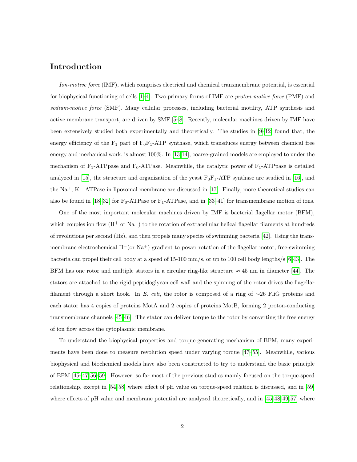### Introduction

Ion-motive force (IMF), which comprises electrical and chemical transmembrane potential, is essential for biophysical functioning of cells  $[1-4]$ . Two primary forms of IMF are *proton-motive force* (PMF) and sodium-motive force (SMF). Many cellular processes, including bacterial motility, ATP synthesis and active membrane transport, are driven by SMF [\[5–](#page-9-2)[8\]](#page-9-3). Recently, molecular machines driven by IMF have been extensively studied both experimentally and theoretically. The studies in [\[9–](#page-9-4)[12\]](#page-9-5) found that, the energy efficiency of the  $F_1$  part of  $F_0F_1$ -ATP synthase, which transduces energy between chemical free energy and mechanical work, is almost 100%. In [\[13,](#page-9-6)[14\]](#page-10-0), coarse-grained models are employed to under the mechanism of  $F_1$ -ATPpase and  $F_0$ -ATPase. Meanwhile, the catalytic power of  $F_1$ -ATPpase is detailed analyzed in [\[15\]](#page-10-1), the structure and organization of the yeast  $F_0F_1$ -ATP synthase are studied in [\[16\]](#page-10-2), and the  $Na<sup>+</sup>, K<sup>+</sup>-ATPase$  in liposomal membrane are discussed in [\[17\]](#page-10-3). Finally, more theoretical studies can also be found in [\[18–](#page-10-4)[32\]](#page-11-0) for  $F_0$ -ATPase or  $F_1$ -ATPase, and in [\[33](#page-11-1)[–41\]](#page-12-0) for transmembrane motion of ions.

One of the most important molecular machines driven by IMF is bacterial flagellar motor (BFM), which couples ion flow  $(H^+ \text{ or } Na^+)$  to the rotation of extracellular helical flagellar filaments at hundreds of revolutions per second (Hz), and then propels many species of swimming bacteria [\[42\]](#page-12-1). Using the transmembrane electrochemical  $H^{\dagger}$  (or Na<sup>+</sup>) gradient to power rotation of the flagellar motor, free-swimming bacteria can propel their cell body at a speed of 15-100 mm/s, or up to 100 cell body lengths/s [\[6,](#page-9-7)[43\]](#page-12-2). The BFM has one rotor and multiple stators in a circular ring-like structure  $\approx 45$  nm in diameter [\[44\]](#page-12-3). The stators are attached to the rigid peptidoglycan cell wall and the spinning of the rotor drives the flagellar filament through a short hook. In E. coli, the rotor is composed of a ring of  $\sim$ 26 FliG proteins and each stator has 4 copies of proteins MotA and 2 copies of proteins MotB, forming 2 proton-conducting transmembrane channels [\[45,](#page-12-4)[46\]](#page-12-5). The stator can deliver torque to the rotor by converting the free energy of ion flow across the cytoplasmic membrane.

To understand the biophysical properties and torque-generating mechanism of BFM, many experiments have been done to measure revolution speed under varying torque [\[47–](#page-12-6)[55\]](#page-13-0). Meanwhile, various biophysical and biochemical models have also been constructed to try to understand the basic principle of BFM [\[45](#page-12-4)[–47,](#page-12-6) [56–](#page-13-1)[59\]](#page-13-2). However, so far most of the previous studies mainly focused on the torque-speed relationship, except in [\[54,](#page-13-3) [58\]](#page-13-4) where effect of pH value on torque-speed relation is discussed, and in [\[59\]](#page-13-2) where effects of pH value and membrane potential are analyzed theoretically, and in [\[45,](#page-12-4) [48,](#page-12-7) [49,](#page-12-8) [57\]](#page-13-5) where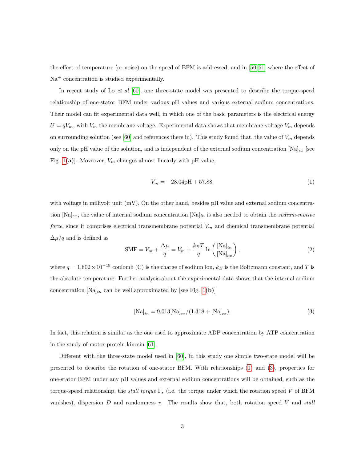the effect of temperature (or noise) on the speed of BFM is addressed, and in [\[50,](#page-13-6) [51\]](#page-13-7) where the effect of  $Na<sup>+</sup> concentration is studied experimentally.$ 

In recent study of Lo *et al* [\[60\]](#page-13-8), one three-state model was presented to describe the torque-speed relationship of one-stator BFM under various pH values and various external sodium concentrations. Their model can fit experimental data well, in which one of the basic parameters is the electrical energy  $U = qV_m$ , with  $V_m$  the membrane voltage. Experimental data shows that membrane voltage  $V_m$  depends on surrounding solution (see [\[60\]](#page-13-8) and references there in). This study found that, the value of  $V_m$  depends only on the pH value of the solution, and is independent of the external sodium concentration  $[\text{Na}]_{ex}$  [see Fig. [1](#page-16-0)(a)]. Moveover,  $V_m$  changes almost linearly with pH value,

<span id="page-2-0"></span>
$$
V_m = -28.04 \text{pH} + 57.88,\tag{1}
$$

with voltage in millivolt unit  $(mV)$ . On the other hand, besides pH value and external sodium concentration  $[\text{Na}]_{ex}$ , the value of internal sodium concentration  $[\text{Na}]_{in}$  is also needed to obtain the *sodium-motive* force, since it comprises electrical transmembrane potential  $V_m$  and chemical transmembrane potential  $\Delta \mu / q$  and is defined as

$$
SMF = V_m + \frac{\Delta \mu}{q} = V_m + \frac{k_B T}{q} \ln \left( \frac{[\text{Na}]_{in}}{[\text{Na}]_{ex}} \right),\tag{2}
$$

where  $q = 1.602 \times 10^{-19}$  coulomb (C) is the charge of sodium ion,  $k_B$  is the Boltzmann constant, and T is the absolute temperature. Further analysis about the experimental data shows that the internal sodium concentration  $[Na]_{in}$  can be well approximated by [see Fig. [1](#page-16-0)(b)]

<span id="page-2-1"></span>
$$
[\text{Na}]_{in} = 9.013[\text{Na}]_{ex}/(1.318 + [\text{Na}]_{ex}). \tag{3}
$$

In fact, this relation is similar as the one used to approximate ADP concentration by ATP concentration in the study of motor protein kinesin [\[61\]](#page-13-9).

Different with the three-state model used in [\[60\]](#page-13-8), in this study one simple two-state model will be presented to describe the rotation of one-stator BFM. With relationships [\(1\)](#page-2-0) and [\(3\)](#page-2-1), properties for one-stator BFM under any pH values and external sodium concentrations will be obtained, such as the torque-speed relationship, the *stall torque*  $\Gamma_s$  (i.e. the torque under which the rotation speed V of BFM vanishes), dispersion  $D$  and randomness  $r$ . The results show that, both rotation speed  $V$  and stall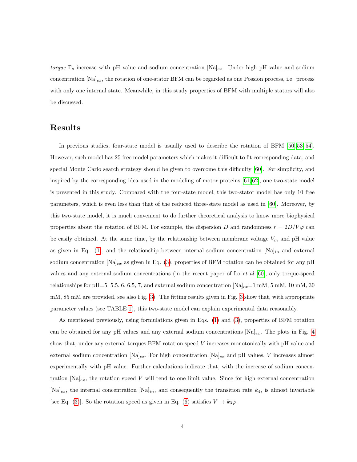torque  $\Gamma_s$  increase with pH value and sodium concentration  $[\text{Na}]_{ex}$ . Under high pH value and sodium concentration  $[Na]_{ex}$ , the rotation of one-stator BFM can be regarded as one Possion process, i.e. process with only one internal state. Meanwhile, in this study properties of BFM with multiple stators will also be discussed.

### Results

In previous studies, four-state model is usually used to describe the rotation of BFM [\[50,](#page-13-6) [53,](#page-13-10) [54\]](#page-13-3). However, such model has 25 free model parameters which makes it difficult to fit corresponding data, and special Monte Carlo search strategy should be given to overcome this difficulty [\[60\]](#page-13-8). For simplicity, and inspired by the corresponding idea used in the modeling of motor proteins [\[61,](#page-13-9) [62\]](#page-13-11), one two-state model is presented in this study. Compared with the four-state model, this two-stator model has only 10 free parameters, which is even less than that of the reduced three-state model as used in [\[60\]](#page-13-8). Moreover, by this two-state model, it is much convenient to do further theoretical analysis to know more biophysical properties about the rotation of BFM. For example, the dispersion D and randomness  $r = 2D/V\varphi$  can be easily obtained. At the same time, by the relationship between membrane voltage  $V_m$  and pH value as given in Eq. [\(1\)](#page-2-0), and the relationship between internal sodium concentration  $[Na]_{in}$  and external sodium concentration  $[Na]_{ex}$  as given in Eq. [\(3\)](#page-2-1), properties of BFM rotation can be obtained for any pH values and any external sodium concentrations (in the recent paper of Lo  $et \ al \ [60]$  $et \ al \ [60]$ , only torque-speed relationships for pH=5, 5.5, 6, 6.5, 7, and external sodium concentration  $[Na]_{ex}=1$  mM, 5 mM, 10 mM, 30 mM, 85 mM are provided, see also Fig. [3\)](#page-18-0). The fitting results given in Fig. [3](#page-18-0) show that, with appropriate parameter values (see TABLE [1\)](#page-15-0), this two-state model can explain experimental data reasonably.

As mentioned previously, using formulations given in Eqs. [\(1\)](#page-2-0) and [\(3\)](#page-2-1), properties of BFM rotation can be obtained for any pH values and any external sodium concentrations  $[Na]_{ex}$ . The plots in Fig. [4](#page-19-0) show that, under any external torques BFM rotation speed  $V$  increases monotonically with pH value and external sodium concentration  $[\text{Na}]_{ex}$ . For high concentration  $[\text{Na}]_{ex}$  and pH values, V increases almost experimentally with pH value. Further calculations indicate that, with the increase of sodium concentration  $[Na]_{ex}$ , the rotation speed V will tend to one limit value. Since for high external concentration  $[Na]_{ex}$ , the internal concentration  $[Na]_{in}$ , and consequently the transition rate  $k_4$ , is almost invariable [see Eq. [\(3\)](#page-2-1)]. So the rotation speed as given in Eq. [\(6\)](#page-7-0) satisfies  $V \to k_3\varphi$ .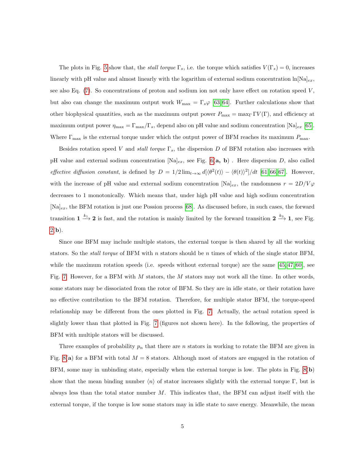The plots in Fig. [5](#page-20-0) show that, the *stall torque*  $\Gamma_s$ , i.e. the torque which satisfies  $V(\Gamma_s) = 0$ , increases linearly with pH value and almost linearly with the logarithm of external sodium concentration  $\ln[\text{Na}]_{ex}$ , see also Eq.  $(7)$ . So concentrations of proton and sodium ion not only have effect on rotation speed V, but also can change the maximum output work  $W_{\text{max}} = \Gamma_s \varphi$  [\[63,](#page-14-0) [64\]](#page-14-1). Further calculations show that other biophysical quantities, such as the maximum output power  $P_{\text{max}} = \max_{\Gamma} \Gamma V(\Gamma)$ , and efficiency at maximum output power  $\eta_{\text{max}} = \Gamma_{\text{max}}/\Gamma_s$ , depend also on pH value and sodium concentration  $[\text{Na}]_{ex}$  [\[65\]](#page-14-2). Where  $\Gamma_{\text{max}}$  is the external torque under which the output power of BFM reaches its maximum  $P_{\text{max}}$ .

Besides rotation speed V and *stall torque*  $\Gamma_s$ , the dispersion D of BFM rotation also increases with pH value and external sodium concentration  $[Na]_{ex}$ , see Fig. [6\(](#page-21-0)a, b). Here dispersion D, also called effective diffusion constant, is defined by  $D = 1/2 \lim_{t \to \infty} d[\langle \theta^2(t) \rangle - \langle \theta(t) \rangle^2]/dt$  [\[61,](#page-13-9) [66,](#page-14-3) [67\]](#page-14-4). However, with the increase of pH value and external sodium concentration  $[\text{Na}]_{ex}$ , the randomness  $r = 2D/V\varphi$ decreases to 1 monotonically. Which means that, under high pH value and high sodium concentration  $[Na]_{ex}$ , the BFM rotation is just one Possion process [\[68\]](#page-14-5). As discussed before, in such cases, the forward transition  $1 \xrightarrow{k_1} 2$  is fast, and the rotation is mainly limited by the forward transition  $2 \xrightarrow{k_3} 1$ , see Fig.  $2(b).$  $2(b).$ 

Since one BFM may include multiple stators, the external torque is then shared by all the working stators. So the *stall torque* of BFM with n stators should be n times of which of the single stator BFM, while the maximum rotation speeds (i.e. speeds without external torque) are the same [\[45,](#page-12-4) [47,](#page-12-6) [60\]](#page-13-8), see Fig. [7.](#page-22-0) However, for a BFM with M stators, the M stators may not work all the time. In other words, some stators may be dissociated from the rotor of BFM. So they are in idle state, or their rotation have no effective contribution to the BFM rotation. Therefore, for multiple stator BFM, the torque-speed relationship may be different from the ones plotted in Fig. [7.](#page-22-0) Actually, the actual rotation speed is slightly lower than that plotted in Fig. [7](#page-22-0) (figures not shown here). In the following, the properties of BFM with multiple stators will be discussed.

Three examples of probability  $p_n$  that there are n stators in working to rotate the BFM are given in Fig. [8\(](#page-23-0)a) for a BFM with total  $M = 8$  stators. Although most of stators are engaged in the rotation of BFM, some may in unbinding state, especially when the external torque is low. The plots in Fig. [8\(](#page-23-0)b) show that the mean binding number  $\langle n \rangle$  of stator increases slightly with the external torque Γ, but is always less than the total stator number  $M$ . This indicates that, the BFM can adjust itself with the external torque, if the torque is low some stators may in idle state to save energy. Meanwhile, the mean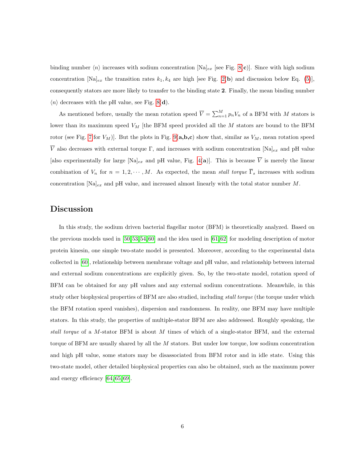binding number  $\langle n \rangle$  increases with sodium concentration  $[Na]_{ex}$  [see Fig. [8\(](#page-23-0)c)]. Since with high sodium concentration  $[\text{Na}]_{ex}$  the transition rates  $k_1, k_4$  are high [see Fig. [2\(](#page-17-0)b) and discussion below Eq. [\(5\)](#page-7-2)], consequently stators are more likely to transfer to the binding state 2. Finally, the mean binding number  $\langle n \rangle$  decreases with the pH value, see Fig. [8\(](#page-23-0)d).

As mentioned before, usually the mean rotation speed  $\overline{V} = \sum_{n=1}^{M} p_n V_n$  of a BFM with M stators is lower than its maximum speed  $V_M$  [the BFM speed provided all the  $M$  stators are bound to the BFM rotor (see Fig. [7](#page-22-0) for  $V_M$ )]. But the plots in Fig. [9\(](#page-24-0) $\mathbf{a}, \mathbf{b}, \mathbf{c}$ ) show that, similar as  $V_M$ , mean rotation speed  $\overline{V}$  also decreases with external torque Γ, and increases with sodium concentration [Na]<sub>ex</sub> and pH value [also experimentally for large  $[\text{Na}]_{ex}$  and pH value, Fig. [4\(](#page-19-0)a)]. This is because  $\overline{V}$  is merely the linear combination of  $V_n$  for  $n = 1, 2, \dots, M$ . As expected, the mean stall torque  $\overline{\Gamma}_s$  increases with sodium concentration  $[Na]_{ex}$  and pH value, and increased almost linearly with the total stator number M.

#### Discussion

In this study, the sodium driven bacterial flagellar motor (BFM) is theoretically analyzed. Based on the previous models used in [\[50,](#page-13-6) [53,](#page-13-10) [54,](#page-13-3) [60\]](#page-13-8) and the idea used in [\[61,](#page-13-9) [62\]](#page-13-11) for modeling description of motor protein kinesin, one simple two-state model is presented. Moreover, according to the experimental data collected in [\[60\]](#page-13-8), relationship between membrane voltage and pH value, and relationship between internal and external sodium concentrations are explicitly given. So, by the two-state model, rotation speed of BFM can be obtained for any pH values and any external sodium concentrations. Meanwhile, in this study other biophysical properties of BFM are also studied, including *stall torque* (the torque under which the BFM rotation speed vanishes), dispersion and randomness. In reality, one BFM may have multiple stators. In this study, the properties of multiple-stator BFM are also addressed. Roughly speaking, the stall torque of a M-stator BFM is about M times of which of a single-stator BFM, and the external torque of BFM are usually shared by all the M stators. But under low torque, low sodium concentration and high pH value, some stators may be disassociated from BFM rotor and in idle state. Using this two-state model, other detailed biophysical properties can also be obtained, such as the maximum power and energy efficiency [\[64,](#page-14-1) [65,](#page-14-2) [69\]](#page-14-6).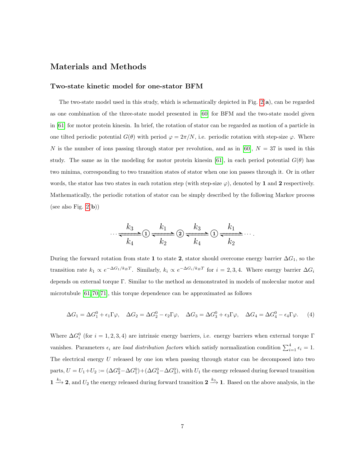### Materials and Methods

#### Two-state kinetic model for one-stator BFM

The two-state model used in this study, which is schematically depicted in Fig.  $2(a)$ , can be regarded as one combination of the three-state model presented in [\[60\]](#page-13-8) for BFM and the two-state model given in [\[61\]](#page-13-9) for motor protein kinesin. In brief, the rotation of stator can be regarded as motion of a particle in one tilted periodic potential  $G(\theta)$  with period  $\varphi = 2\pi/N$ , i.e. periodic rotation with step-size  $\varphi$ . Where N is the number of ions passing through stator per revolution, and as in [\[60\]](#page-13-8),  $N = 37$  is used in this study. The same as in the modeling for motor protein kinesin [\[61\]](#page-13-9), in each period potential  $G(\theta)$  has two minima, corresponding to two transition states of stator when one ion passes through it. Or in other words, the stator has two states in each rotation step (with step-size  $\varphi$ ), denoted by 1 and 2 respectively. Mathematically, the periodic rotation of stator can be simply described by the following Markov process (see also Fig.  $2(b)$ )

$$
\cdots \xrightarrow{k_3} 0 \xrightarrow{k_1} 2 \xrightarrow{k_2} 0 \xrightarrow{k_3} 0 \xrightarrow{k_1} \cdots
$$

During the forward rotation from state 1 to state 2, stator should overcome energy barrier  $\Delta G_1$ , so the transition rate  $k_1 \propto e^{-\Delta G_1/k_B T}$ . Similarly,  $k_i \propto e^{-\Delta G_i/k_B T}$  for  $i = 2, 3, 4$ . Where energy barrier  $\Delta G_i$ depends on external torque Γ. Similar to the method as demonstrated in models of molecular motor and microtubule  $[61, 70, 71]$  $[61, 70, 71]$  $[61, 70, 71]$ , this torque dependence can be approximated as follows

$$
\Delta G_1 = \Delta G_1^0 + \epsilon_1 \Gamma \varphi, \quad \Delta G_2 = \Delta G_2^0 - \epsilon_2 \Gamma \varphi, \quad \Delta G_3 = \Delta G_3^0 + \epsilon_3 \Gamma \varphi, \quad \Delta G_4 = \Delta G_4^0 - \epsilon_4 \Gamma \varphi. \tag{4}
$$

Where  $\Delta G_i^0$  (for  $i = 1, 2, 3, 4$ ) are intrinsic energy barriers, i.e. energy barriers when external torque  $\Gamma$ vanishes. Parameters  $\epsilon_i$  are *load distribution factors* which satisfy normalization condition  $\sum_{i=1}^4 \epsilon_i = 1$ . The electrical energy U released by one ion when passing through stator can be decomposed into two parts,  $U = U_1 + U_2 := (\Delta G_2^0 - \Delta G_1^0) + (\Delta G_4^0 - \Delta G_3^0)$ , with  $U_1$  the energy released during forward transition  $1 \stackrel{k_1}{\longrightarrow} 2$ , and  $U_2$  the energy released during forward transition  $2 \stackrel{k_3}{\longrightarrow} 1$ . Based on the above analysis, in the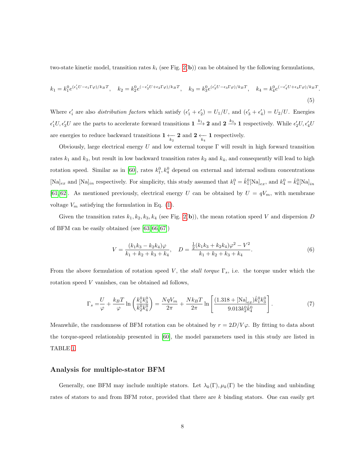two-state kinetic model, transition rates  $k_i$  (see Fig. [2\(](#page-17-0)b)) can be obtained by the following formulations,

<span id="page-7-2"></span>
$$
k_1 = k_1^0 e^{(\epsilon_1' U - \epsilon_1 \Gamma \varphi)/k_B T}, \quad k_2 = k_2^0 e^{(-\epsilon_2' U + \epsilon_2 \Gamma \varphi)/k_B T}, \quad k_3 = k_3^0 e^{(\epsilon_3' U - \epsilon_3 \Gamma \varphi)/k_B T}, \quad k_4 = k_4^0 e^{(-\epsilon_4' U + \epsilon_4 \Gamma \varphi)/k_B T}
$$
\n
$$
(5)
$$

.

Where  $\epsilon'_i$  are also distribution factors which satisfy  $(\epsilon'_1 + \epsilon'_2) = U_1/U$ , and  $(\epsilon'_3 + \epsilon'_4) = U_2/U$ . Energies  $\epsilon'_1U, \epsilon'_3U$  are the parts to accelerate forward transitions  $1 \xrightarrow{k_1} 2$  and  $2 \xrightarrow{k_3} 1$  respectively. While  $\epsilon'_2U, \epsilon'_4U$ are energies to reduce backward transitions  $1 \underset{k_2}{\leftarrow} 2$  and  $2 \underset{k_4}{\leftarrow} 1$  respectively.

Obviously, large electrical energy U and low external torque  $\Gamma$  will result in high forward transition rates  $k_1$  and  $k_3$ , but result in low backward transition rates  $k_2$  and  $k_4$ , and consequently will lead to high rotation speed. Similar as in [\[60\]](#page-13-8), rates  $k_1^0, k_4^0$  depend on external and internal sodium concentrations  $[\text{Na}]_{ex}$  and  $[\text{Na}]_{in}$  respectively. For simplicity, this study assumed that  $k_1^0 = \hat{k}_1^0 [\text{Na}]_{ex}$ , and  $k_4^0 = \hat{k}_4^0 [\text{Na}]_{in}$ [\[61,](#page-13-9) [62\]](#page-13-11). As mentioned previously, electrical energy U can be obtained by  $U = qV_m$ , with membrane voltage  $V_m$  satisfying the formulation in Eq. [\(1\)](#page-2-0).

Given the transition rates  $k_1, k_2, k_3, k_4$  (see Fig. [2\(](#page-17-0)b)), the mean rotation speed V and dispersion D of BFM can be easily obtained (see [\[63,](#page-14-0) [66,](#page-14-3) [67\]](#page-14-4))

<span id="page-7-0"></span>
$$
V = \frac{(k_1k_3 - k_2k_4)\varphi}{k_1 + k_2 + k_3 + k_4}, \quad D = \frac{\frac{1}{2}(k_1k_3 + k_2k_4)\varphi^2 - V^2}{k_1 + k_2 + k_3 + k_4}.
$$
 (6)

From the above formulation of rotation speed V, the stall torque  $\Gamma_s$ , i.e. the torque under which the rotation speed V vanishes, can be obtained ad follows,

<span id="page-7-1"></span>
$$
\Gamma_s = \frac{U}{\varphi} + \frac{k_B T}{\varphi} \ln \left( \frac{k_1^0 k_3^0}{k_2^0 k_4^0} \right) = \frac{NqV_m}{2\pi} + \frac{Nk_B T}{2\pi} \ln \left[ \frac{(1.318 + [Na]_{ex})\hat{k}_1^0 k_3^0}{9.013 k_2^0 \hat{k}_4^0} \right].
$$
 (7)

Meanwhile, the randomness of BFM rotation can be obtained by  $r = 2D/V\varphi$ . By fitting to data about the torque-speed relationship presented in [\[60\]](#page-13-8), the model parameters used in this study are listed in TABLE [1.](#page-15-0)

#### Analysis for multiple-stator BFM

Generally, one BFM may include multiple stators. Let  $\lambda_k(\Gamma)$ ,  $\mu_k(\Gamma)$  be the binding and unbinding rates of stators to and from BFM rotor, provided that there are k binding stators. One can easily get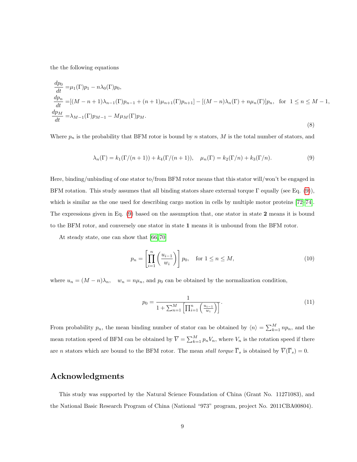the the following equations

$$
\frac{dp_0}{dt} = \mu_1(\Gamma)p_1 - n\lambda_0(\Gamma)p_0,
$$
\n
$$
\frac{dp_n}{dt} = [(M - n + 1)\lambda_{n-1}(\Gamma)p_{n-1} + (n + 1)\mu_{n+1}(\Gamma)p_{n+1}] - [(M - n)\lambda_n(\Gamma) + n\mu_n(\Gamma)]p_n, \text{ for } 1 \le n \le M - 1,
$$
\n
$$
\frac{dp_M}{dt} = \lambda_{M-1}(\Gamma)p_{M-1} - M\mu_M(\Gamma)p_M.
$$
\n(8)

Where  $p_n$  is the probability that BFM rotor is bound by n stators, M is the total number of stators, and

<span id="page-8-0"></span>
$$
\lambda_n(\Gamma) = k_1(\Gamma/(n+1)) + k_4(\Gamma/(n+1)), \quad \mu_n(\Gamma) = k_2(\Gamma/n) + k_3(\Gamma/n). \tag{9}
$$

Here, binding/unbinding of one stator to/from BFM rotor means that this stator will/won't be engaged in BFM rotation. This study assumes that all binding stators share external torque  $\Gamma$  equally (see Eq. [\(9\)](#page-8-0)), which is similar as the one used for describing cargo motion in cells by multiple motor proteins [\[72–](#page-14-9)[74\]](#page-14-10). The expressions given in Eq. [\(9\)](#page-8-0) based on the assumption that, one stator in state 2 means it is bound to the BFM rotor, and conversely one stator in state 1 means it is unbound from the BFM rotor.

At steady state, one can show that [\[66,](#page-14-3) [70\]](#page-14-7)

$$
p_n = \left[\prod_{i=1}^n \left(\frac{u_{i-1}}{w_i}\right)\right] p_0, \quad \text{for } 1 \le n \le M,
$$
\n
$$
(10)
$$

where  $u_n = (M - n)\lambda_n$ ,  $w_n = n\mu_n$ , and  $p_0$  can be obtained by the normalization condition,

$$
p_0 = \frac{1}{1 + \sum_{n=1}^{M} \left[ \prod_{i=1}^{n} \left( \frac{u_{i-1}}{w_i} \right) \right]}.
$$
\n(11)

From probability  $p_n$ , the mean binding number of stator can be obtained by  $\langle n \rangle = \sum_{k=1}^{M} np_n$ , and the mean rotation speed of BFM can be obtained by  $\overline{V} = \sum_{k=1}^{M} p_n V_n$ , where  $V_n$  is the rotation speed if there are n stators which are bound to the BFM rotor. The mean *stall torque*  $\overline{\Gamma}_s$  is obtained by  $\overline{V}(\overline{\Gamma}_s) = 0$ .

### Acknowledgments

This study was supported by the Natural Science Foundation of China (Grant No. 11271083), and the National Basic Research Program of China (National "973" program, project No. 2011CBA00804).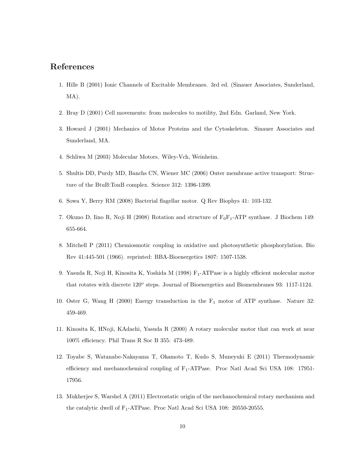#### <span id="page-9-0"></span>References

- 1. Hille B (2001) Ionic Channels of Excitable Membranes. 3rd ed. (Sinauer Associates, Sunderland, MA).
- 2. Bray D (2001) Cell movements: from molecules to motility, 2nd Edn. Garland, New York.
- 3. Howard J (2001) Mechanics of Motor Proteins and the Cytoskeleton. Sinauer Associates and Sunderland, MA.
- <span id="page-9-1"></span>4. Schliwa M (2003) Molecular Motors. Wiley-Vch, Weinheim.
- <span id="page-9-2"></span>5. Shultis DD, Purdy MD, Banchs CN, Wiener MC (2006) Outer membrane active transport: Structure of the BtuB:TonB complex. Science 312: 1396-1399.
- <span id="page-9-7"></span>6. Sowa Y, Berry RM (2008) Bacterial flagellar motor. Q Rev Biophys 41: 103-132.
- 7. Okuno D, Iino R, Noji H (2008) Rotation and structure of  $F_0F_1$ -ATP synthase. J Biochem 149: 655-664.
- <span id="page-9-3"></span>8. Mitchell P (2011) Chemiosmotic coupling in oxidative and photosynthetic phosphorylation. Bio Rev 41:445-501 (1966). reprinted: BBA-Bioenergetics 1807: 1507-1538.
- <span id="page-9-4"></span>9. Yasuda R, Noji H, Kinosita K, Yoshida M (1998) F<sub>1</sub>-ATPase is a highly efficient molecular motor that rotates with discrete 120° steps. Journal of Bioenergetics and Biomembranes 93: 1117-1124.
- 10. Oster G, Wang H (2000) Energy transduction in the F<sup>1</sup> motor of ATP synthase. Nature 32: 459-469.
- 11. Kinosita K, HNoji, KAdachi, Yasuda R (2000) A rotary molecular motor that can work at near 100% efficiency. Phil Trans R Soc B 355: 473-489.
- <span id="page-9-5"></span>12. Toyabe S, Watanabe-Nakayama T, Okamoto T, Kudo S, Muneyuki E (2011) Thermodynamic efficiency and mechanochemical coupling of  $F_1$ -ATPase. Proc Natl Acad Sci USA 108: 17951-17956.
- <span id="page-9-6"></span>13. Mukherjee S, Warshel A (2011) Electrostatic origin of the mechanochemical rotary mechanism and the catalytic dwell of  $F_1$ -ATPase. Proc Natl Acad Sci USA 108: 20550-20555.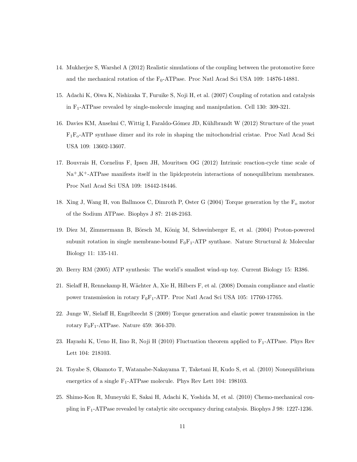- <span id="page-10-0"></span>14. Mukherjee S, Warshel A (2012) Realistic simulations of the coupling between the protomotive force and the mechanical rotation of the  $\rm F_0\text{-}ATPase.$  Proc Natl Acad Sci USA 109: 14876-14881.
- <span id="page-10-1"></span>15. Adachi K, Oiwa K, Nishizaka T, Furuike S, Noji H, et al. (2007) Coupling of rotation and catalysis in F1-ATPase revealed by single-molecule imaging and manipulation. Cell 130: 309-321.
- <span id="page-10-2"></span>16. Davies KM, Anselmi C, Wittig I, Faraldo-Gómez JD, Kühlbrandt W (2012) Structure of the yeast  $F_1F_0$ -ATP synthase dimer and its role in shaping the mitochondrial cristae. Proc Natl Acad Sci USA 109: 13602-13607.
- <span id="page-10-3"></span>17. Bouvrais H, Cornelius F, Ipsen JH, Mouritsen OG (2012) Intrinsic reaction-cycle time scale of  $\mathrm{Na^+, K^+}\text{-ATPase}\$  manifests itself in the lipidcprotein interactions of nonequilibrium membranes. Proc Natl Acad Sci USA 109: 18442-18446.
- <span id="page-10-4"></span>18. Xing J, Wang H, von Ballmoos C, Dimroth P, Oster G (2004) Torque generation by the  $F<sub>o</sub>$  motor of the Sodium ATPase. Biophys J 87: 2148-2163.
- 19. Diez M, Zimmermann B, Börsch M, König M, Schweinberger E, et al. (2004) Proton-powered subunit rotation in single membrane-bound  $F_0F_1$ -ATP synthase. Nature Structural & Molecular Biology 11: 135-141.
- 20. Berry RM (2005) ATP synthesis: The world's smallest wind-up toy. Current Biology 15: R386.
- 21. Sielaff H, Rennekamp H, Wächter A, Xie H, Hilbers F, et al. (2008) Domain compliance and elastic power transmission in rotary  $F_0F_1$ -ATP. Proc Natl Acad Sci USA 105: 17760-17765.
- 22. Junge W, Sielaff H, Engelbrecht S (2009) Torque generation and elastic power transmission in the rotary  $F_0F_1$ -ATPase. Nature 459: 364-370.
- 23. Hayashi K, Ueno H, Iino R, Noji H (2010) Fluctuation theorem applied to  $F_1$ -ATPase. Phys Rev Lett 104: 218103.
- 24. Toyabe S, Okamoto T, Watanabe-Nakayama T, Taketani H, Kudo S, et al. (2010) Nonequilibrium energetics of a single  $F_1$ -ATPase molecule. Phys Rev Lett 104: 198103.
- 25. Shimo-Kon R, Muneyuki E, Sakai H, Adachi K, Yoshida M, et al. (2010) Chemo-mechanical coupling in F1-ATPase revealed by catalytic site occupancy during catalysis. Biophys J 98: 1227-1236.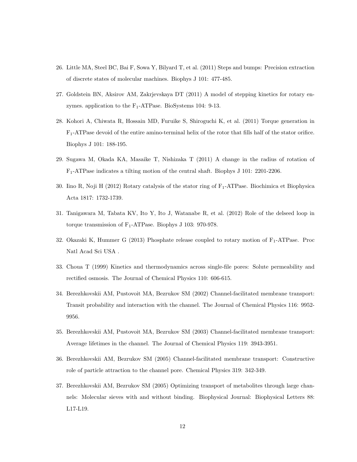- 26. Little MA, Steel BC, Bai F, Sowa Y, Bilyard T, et al. (2011) Steps and bumps: Precision extraction of discrete states of molecular machines. Biophys J 101: 477-485.
- 27. Goldstein BN, Aksirov AM, Zakrjevskaya DT (2011) A model of stepping kinetics for rotary enzymes. application to the  $F_1$ -ATPase. BioSystems 104: 9-13.
- 28. Kohori A, Chiwata R, Hossain MD, Furuike S, Shiroguchi K, et al. (2011) Torque generation in  $F_1$ -ATPase devoid of the entire amino-terminal helix of the rotor that fills half of the stator orifice. Biophys J 101: 188-195.
- 29. Sugawa M, Okada KA, Masaike T, Nishizaka T (2011) A change in the radius of rotation of F1-ATPase indicates a tilting motion of the central shaft. Biophys J 101: 2201-2206.
- 30. Iino R, Noji H (2012) Rotary catalysis of the stator ring of  $F_1$ -ATPase. Biochimica et Biophysica Acta 1817: 1732-1739.
- 31. Tanigawara M, Tabata KV, Ito Y, Ito J, Watanabe R, et al. (2012) Role of the delseed loop in torque transmission of  $F_1$ -ATPase. Biophys J 103: 970-978.
- <span id="page-11-0"></span>32. Okazaki K, Hummer G  $(2013)$  Phosphate release coupled to rotary motion of  $F_1$ -ATPase. Proc Natl Acad Sci USA .
- <span id="page-11-1"></span>33. Choua T (1999) Kinetics and thermodynamics across single-file pores: Solute permeability and rectified osmosis. The Journal of Chemical Physics 110: 606-615.
- 34. Berezhkovskii AM, Pustovoit MA, Bezrukov SM (2002) Channel-facilitated membrane transport: Transit probability and interaction with the channel. The Journal of Chemical Physics 116: 9952- 9956.
- 35. Berezhkovskii AM, Pustovoit MA, Bezrukov SM (2003) Channel-facilitated membrane transport: Average lifetimes in the channel. The Journal of Chemical Physics 119: 3943-3951.
- 36. Berezhkovskii AM, Bezrukov SM (2005) Channel-facilitated membrane transport: Constructive role of particle attraction to the channel pore. Chemical Physics 319: 342-349.
- 37. Berezhkovskii AM, Bezrukov SM (2005) Optimizing transport of metabolites through large channels: Molecular sieves with and without binding. Biophysical Journal: Biophysical Letters 88: L17-L19.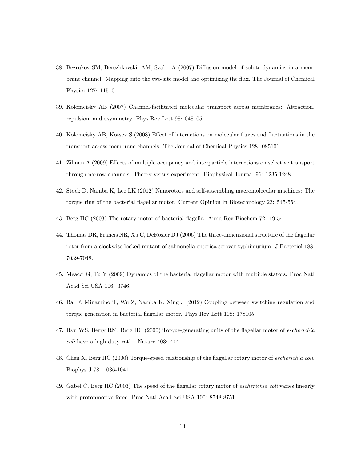- 38. Bezrukov SM, Berezhkovskii AM, Szabo A (2007) Diffusion model of solute dynamics in a membrane channel: Mapping onto the two-site model and optimizing the flux. The Journal of Chemical Physics 127: 115101.
- 39. Kolomeisky AB (2007) Channel-facilitated molecular transport across membranes: Attraction, repulsion, and asymmetry. Phys Rev Lett 98: 048105.
- 40. Kolomeisky AB, Kotsev S (2008) Effect of interactions on molecular fluxes and fluctuations in the transport across membrane channels. The Journal of Chemical Physics 128: 085101.
- <span id="page-12-0"></span>41. Zilman A (2009) Effects of multiple occupancy and interparticle interactions on selective transport through narrow channels: Theory versus experiment. Biophysical Journal 96: 1235-1248.
- <span id="page-12-1"></span>42. Stock D, Namba K, Lee LK (2012) Nanorotors and self-assembling macromolecular machines: The torque ring of the bacterial flagellar motor. Current Opinion in Biotechnology 23: 545-554.
- <span id="page-12-3"></span><span id="page-12-2"></span>43. Berg HC (2003) The rotary motor of bacterial flagella. Annu Rev Biochem 72: 19-54.
- 44. Thomas DR, Francis NR, Xu C, DeRosier DJ (2006) The three-dimensional structure of the flagellar rotor from a clockwise-locked mutant of salmonella enterica serovar typhimurium. J Bacteriol 188: 7039-7048.
- <span id="page-12-4"></span>45. Meacci G, Tu Y (2009) Dynamics of the bacterial flagellar motor with multiple stators. Proc Natl Acad Sci USA 106: 3746.
- <span id="page-12-5"></span>46. Bai F, Minamino T, Wu Z, Namba K, Xing J (2012) Coupling between switching regulation and torque generation in bacterial flagellar motor. Phys Rev Lett 108: 178105.
- <span id="page-12-6"></span>47. Ryu WS, Berry RM, Berg HC (2000) Torque-generating units of the flagellar motor of *escherichia* coli have a high duty ratio. Nature 403: 444.
- <span id="page-12-7"></span>48. Chen X, Berg HC (2000) Torque-speed relationship of the flagellar rotary motor of escherichia coli. Biophys J 78: 1036-1041.
- <span id="page-12-8"></span>49. Gabel C, Berg HC (2003) The speed of the flagellar rotary motor of escherichia coli varies linearly with protonmotive force. Proc Natl Acad Sci USA 100: 8748-8751.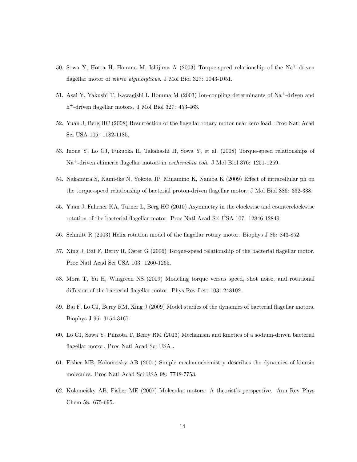- <span id="page-13-6"></span>50. Sowa Y, Hotta H, Homma M, Ishijima A (2003) Torque-speed relationship of the Na+-driven flagellar motor of vibrio alginolyticus. J Mol Biol 327: 1043-1051.
- <span id="page-13-7"></span>51. Asai Y, Yakushi T, Kawagishi I, Homma M (2003) Ion-coupling determinants of Na+-driven and h <sup>+</sup>-driven flagellar motors. J Mol Biol 327: 453-463.
- 52. Yuan J, Berg HC (2008) Resurrection of the flagellar rotary motor near zero load. Proc Natl Acad Sci USA 105: 1182-1185.
- <span id="page-13-10"></span>53. Inoue Y, Lo CJ, Fukuoka H, Takahashi H, Sowa Y, et al. (2008) Torque-speed relationships of Na<sup>+</sup>-driven chimeric flagellar motors in escherichia coli. J Mol Biol 376: 1251-1259.
- <span id="page-13-3"></span>54. Nakamura S, Kami-ike N, Yokota JP, Minamino K, Namba K (2009) Effect of intracellular ph on the torque-speed relationship of bacterial proton-driven flagellar motor. J Mol Biol 386: 332-338.
- <span id="page-13-0"></span>55. Yuan J, Fahrner KA, Turner L, Berg HC (2010) Asymmetry in the clockwise and counterclockwise rotation of the bacterial flagellar motor. Proc Natl Acad Sci USA 107: 12846-12849.
- <span id="page-13-5"></span><span id="page-13-1"></span>56. Schmitt R (2003) Helix rotation model of the flagellar rotary motor. Biophys J 85: 843-852.
- 57. Xing J, Bai F, Berry R, Oster G (2006) Torque-speed relationship of the bacterial flagellar motor. Proc Natl Acad Sci USA 103: 1260-1265.
- <span id="page-13-4"></span>58. Mora T, Yu H, Wingreen NS (2009) Modeling torque versus speed, shot noise, and rotational diffusion of the bacterial flagellar motor. Phys Rev Lett 103: 248102.
- <span id="page-13-2"></span>59. Bai F, Lo CJ, Berry RM, Xing J (2009) Model studies of the dynamics of bacterial flagellar motors. Biophys J 96: 3154-3167.
- <span id="page-13-8"></span>60. Lo CJ, Sowa Y, Pilizota T, Berry RM (2013) Mechanism and kinetics of a sodium-driven bacterial flagellar motor. Proc Natl Acad Sci USA .
- <span id="page-13-9"></span>61. Fisher ME, Kolomeisky AB (2001) Simple mechanochemistry describes the dynamics of kinesin molecules. Proc Natl Acad Sci USA 98: 7748-7753.
- <span id="page-13-11"></span>62. Kolomeisky AB, Fisher ME (2007) Molecular motors: A theorist's perspective. Ann Rev Phys Chem 58: 675-695.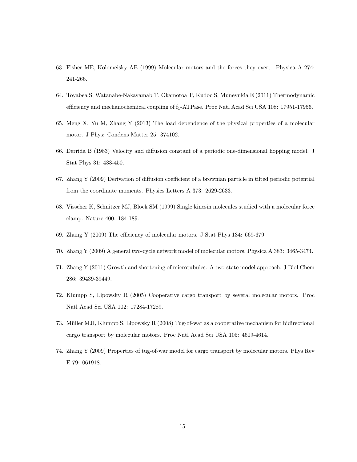- <span id="page-14-0"></span>63. Fisher ME, Kolomeisky AB (1999) Molecular motors and the forces they exert. Physica A 274: 241-266.
- <span id="page-14-1"></span>64. Toyabea S, Watanabe-Nakayamab T, Okamotoa T, Kudoc S, Muneyukia E (2011) Thermodynamic efficiency and mechanochemical coupling of f<sub>1</sub>-ATPase. Proc Natl Acad Sci USA 108: 17951-17956.
- <span id="page-14-2"></span>65. Meng X, Yu M, Zhang Y (2013) The load dependence of the physical properties of a molecular motor. J Phys: Condens Matter 25: 374102.
- <span id="page-14-3"></span>66. Derrida B (1983) Velocity and diffusion constant of a periodic one-dimensional hopping model. J Stat Phys 31: 433-450.
- <span id="page-14-4"></span>67. Zhang Y (2009) Derivation of diffusion coefficient of a brownian particle in tilted periodic potential from the coordinate moments. Physics Letters A 373: 2629-2633.
- <span id="page-14-5"></span>68. Visscher K, Schnitzer MJ, Block SM (1999) Single kinesin molecules studied with a molecular force clamp. Nature 400: 184-189.
- <span id="page-14-7"></span><span id="page-14-6"></span>69. Zhang Y (2009) The efficiency of molecular motors. J Stat Phys 134: 669-679.
- <span id="page-14-8"></span>70. Zhang Y (2009) A general two-cycle network model of molecular motors. Physica A 383: 3465-3474.
- 71. Zhang Y (2011) Growth and shortening of microtubules: A two-state model approach. J Biol Chem 286: 39439-39449.
- <span id="page-14-9"></span>72. Klumpp S, Lipowsky R (2005) Cooperative cargo transport by several molecular motors. Proc Natl Acad Sci USA 102: 17284-17289.
- 73. Müller MJI, Klumpp S, Lipowsky R (2008) Tug-of-war as a cooperative mechanism for bidirectional cargo transport by molecular motors. Proc Natl Acad Sci USA 105: 4609-4614.
- <span id="page-14-10"></span>74. Zhang Y (2009) Properties of tug-of-war model for cargo transport by molecular motors. Phys Rev E 79: 061918.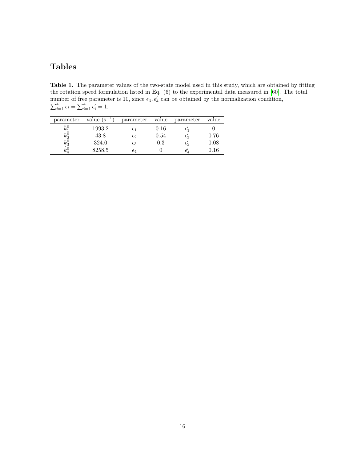## Tables

<span id="page-15-0"></span>Table 1. The parameter values of the two-state model used in this study, which are obtained by fitting the rotation speed formulation listed in Eq. [\(6\)](#page-7-0) to the experimental data measured in [\[60\]](#page-13-8). The total number of free parameter is 10, since  $\epsilon_4, \epsilon'_4$  can be obtained by the normalization condition,  $\sum_{i=1}^{4} \epsilon_i = \sum_{i=1}^{4} \epsilon'_i = 1.$ 

| parameter | value $(s^{-1})$ | parameter    | value   | parameter    | value |
|-----------|------------------|--------------|---------|--------------|-------|
| $k_1$     | 1993.2           | $\epsilon_1$ | 0.16    |              |       |
| $k_2^0$   | 43.8             | $\epsilon_2$ | 0.54    | င၇           | 0.76  |
| $k_3^0$   | 324.0            | $\epsilon_3$ | $0.3\,$ | $\epsilon_3$ | 0.08  |
| $k_4^0$   | 8258.5           | $\epsilon_4$ |         |              | 0.16  |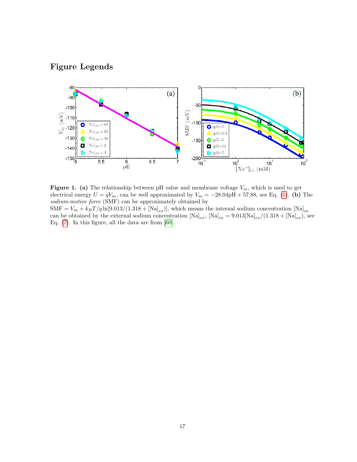## Figure Legends

<span id="page-16-0"></span>

**Figure 1.** (a) The relationship between pH value and membrane voltage  $V_m$ , which is used to get electrical energy  $U = qV_m$ , can be well approximated by  $V_m = -28.04 \text{pH} + 57.88$ , see Eq. [\(1\)](#page-2-0). (b) The sodium-motive force (SMF) can be approximately obtained by  $\text{SMF} = V_m + k_B T / q \ln[9.013/(1.318 + [Na]_{ex})]$ , which means the internal sodium concentration  $[\text{Na}]_{in}$ can be obtained by the external sodium concentration  $[Na]_{ex}$ ,  $[Na]_{in} = 9.013[Na]_{ex}/(1.318 + [Na]_{ex})$ , see

Eq. [\(7\)](#page-7-1). In this figure, all the data are from [\[60\]](#page-13-8).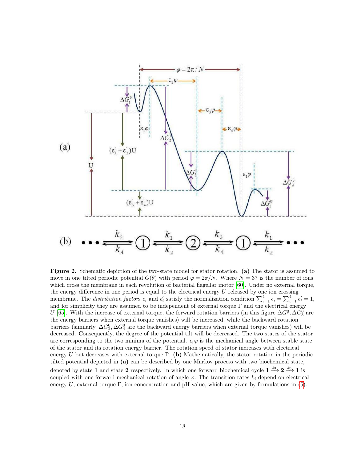<span id="page-17-0"></span>

Figure 2. Schematic depiction of the two-state model for stator rotation. (a) The stator is assumed to move in one tilted periodic potential  $G(\theta)$  with period  $\varphi = 2\pi/N$ . Where  $N = 37$  is the number of ions which cross the membrane in each revolution of bacterial flagellar motor [\[60\]](#page-13-8). Under no external torque, the energy difference in one period is equal to the electrical energy  $U$  released by one ion crossing membrane. The distribution factors  $\epsilon_i$  and  $\epsilon'_i$  satisfy the normalization condition  $\sum_{i=1}^4 \epsilon_i = \sum_{i=1}^4 \epsilon'_i = 1$ , and for simplicity they are assumed to be independent of external torque  $\Gamma$  and the electrical energy U [\[65\]](#page-14-2). With the increase of external torque, the forward rotation barriers (in this figure  $\Delta G_1^0, \Delta G_3^0$  are the energy barriers when external torque vanishes) will be increased, while the backward rotation barriers (similarly,  $\Delta G_2^0$ ,  $\Delta G_4^0$  are the backward energy barriers when external torque vanishes) will be decreased. Consequently, the degree of the potential tilt will be decreased. The two states of the stator are corresponding to the two minima of the potential.  $\epsilon_i\varphi$  is the mechanical angle between stable state of the stator and its rotation energy barrier. The rotation speed of stator increases with electrical energy U but decreases with external torque Γ. (b) Mathematically, the stator rotation in the periodic tilted potential depicted in (a) can be described by one Markov process with two biochemical state, denoted by state 1 and state 2 respectively. In which one forward biochemical cycle  $1 \xrightarrow{k_1} 2 \xrightarrow{k_3} 1$  is coupled with one forward mechanical rotation of angle  $\varphi$ . The transition rates  $k_i$  depend on electrical energy U, external torque  $\Gamma$ , ion concentration and pH value, which are given by formulations in [\(5\)](#page-7-2).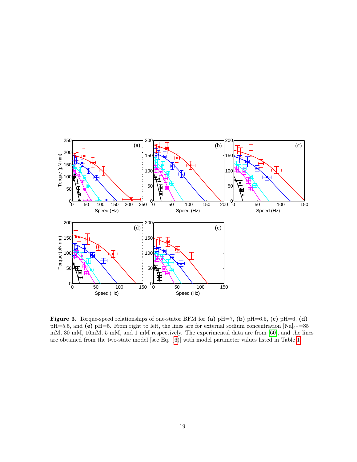<span id="page-18-0"></span>

Figure 3. Torque-speed relationships of one-stator BFM for (a)  $pH=7$ , (b)  $pH=6.5$ , (c)  $pH=6$ , (d) pH=5.5, and (e) pH=5. From right to left, the lines are for external sodium concentration  $[Na]_{ex}=85$ mM, 30 mM, 10mM, 5 mM, and 1 mM respectively. The experimental data are from [\[60\]](#page-13-8), and the lines are obtained from the two-state model [see Eq. [\(6\)](#page-7-0)] with model parameter values listed in Table [1.](#page-15-0)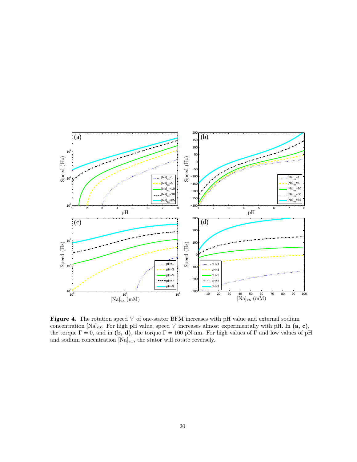<span id="page-19-0"></span>

Figure 4. The rotation speed V of one-stator BFM increases with pH value and external sodium concentration  $[Na]_{ex}$ . For high pH value, speed V increases almost experimentally with pH. In  $(a, c)$ , the torque  $\Gamma = 0$ , and in (b, d), the torque  $\Gamma = 100$  pN·nm. For high values of  $\Gamma$  and low values of pH and sodium concentration  $[Na]_{ex}$ , the stator will rotate reversely.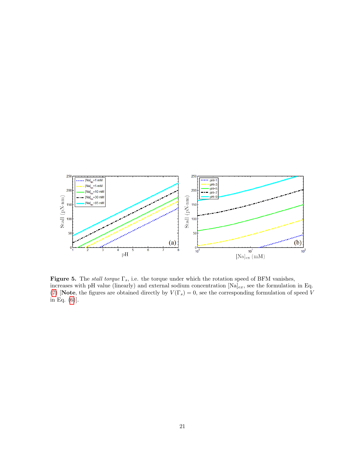<span id="page-20-0"></span>

Figure 5. The stall torque  $\Gamma_s$ , i.e. the torque under which the rotation speed of BFM vanishes, increases with pH value (linearly) and external sodium concentration  $[Na]_{ex}$ , see the formulation in Eq. [\(7\)](#page-7-1) [Note, the figures are obtained directly by  $V(\Gamma_s) = 0$ , see the corresponding formulation of speed V in Eq. [\(6\)](#page-7-0)].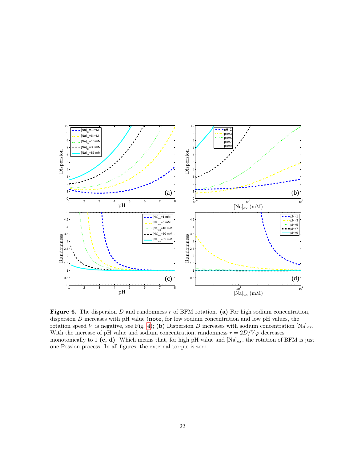<span id="page-21-0"></span>

Figure 6. The dispersion D and randomness r of BFM rotation. (a) For high sodium concentration, dispersion D increases with pH value (note, for low sodium concentration and low pH values, the rotation speed V is negative, see Fig. [4\)](#page-19-0); (b) Dispersion D increases with sodium concentration  $[Na]_{ex}$ . With the increase of pH value and sodium concentration, randomness  $r = 2D/V\varphi$  decreases monotonically to 1 (c, d). Which means that, for high pH value and  $[Na]_{ex}$ , the rotation of BFM is just one Possion process. In all figures, the external torque is zero.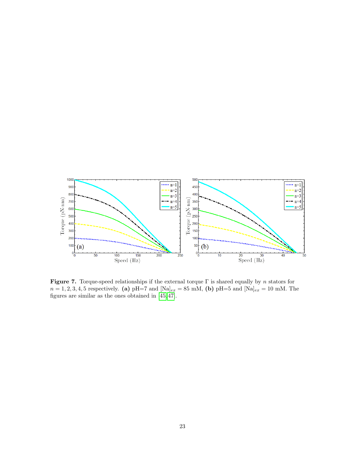<span id="page-22-0"></span>

**Figure 7.** Torque-speed relationships if the external torque  $\Gamma$  is shared equally by n stators for  $n = 1, 2, 3, 4, 5$  respectively. (a) pH=7 and [Na]<sub>ex</sub> = 85 mM, (b) pH=5 and [Na]<sub>ex</sub> = 10 mM. The figures are similar as the ones obtained in [\[45,](#page-12-4) [47\]](#page-12-6).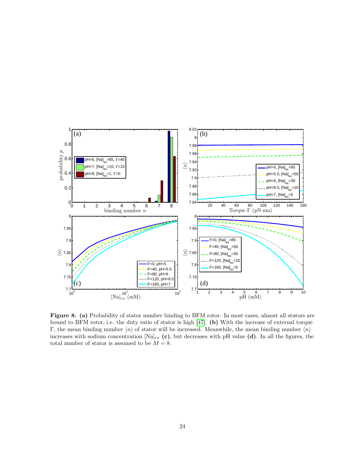<span id="page-23-0"></span>

Figure 8. (a) Probability of stator number binding to BFM rotor. In most cases, almost all stators are bound to BFM rotor, i.e. the duty ratio of stator is high [\[47\]](#page-12-6). (b) With the increase of external torque Γ, the mean binding number  $\langle n \rangle$  of stator will be increased. Meanwhile, the mean binding number  $\langle n \rangle$ increases with sodium concentration  $[Na]_{ex}$  (c), but decreases with pH value (d). In all the figures, the total number of stator is assumed to be  $M = 8$ .